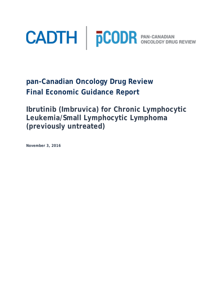

**pan-Canadian Oncology Drug Review Final Economic Guidance Report** 

**Ibrutinib (Imbruvica) for Chronic Lymphocytic Leukemia/Small Lymphocytic Lymphoma (previously untreated)**

**November 3, 2016**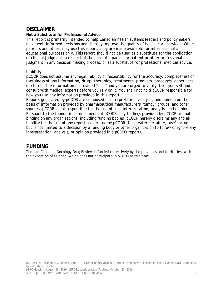## **DISCLAIMER**

#### **Not a Substitute for Professional Advice**

This report is primarily intended to help Canadian health systems leaders and policymakers make well-informed decisions and thereby improve the quality of health care services. While patients and others may use this report, they are made available for informational and educational purposes only. This report should not be used as a substitute for the application of clinical judgment in respect of the care of a particular patient or other professional judgment in any decision making process, or as a substitute for professional medical advice.

#### **Liability**

pCODR does not assume any legal liability or responsibility for the accuracy, completeness or usefulness of any information, drugs, therapies, treatments, products, processes, or services disclosed. The information is provided "as is" and you are urged to verify it for yourself and consult with medical experts before you rely on it. You shall not hold pCODR responsible for how you use any information provided in this report.

Reports generated by pCODR are composed of interpretation, analysis, and opinion on the basis of information provided by pharmaceutical manufacturers, tumour groups, and other sources. pCODR is not responsible for the use of such interpretation, analysis, and opinion. Pursuant to the foundational documents of pCODR, any findings provided by pCODR are not binding on any organizations, including funding bodies. pCODR hereby disclaims any and all liability for the use of any reports generated by pCODR (for greater certainty, "use" includes but is not limited to a decision by a funding body or other organization to follow or ignore any interpretation, analysis, or opinion provided in a pCODR report).

# **FUNDING**

The pan-Canadian Oncology Drug Review is funded collectively by the provinces and territories, with the exception of Quebec, which does not participate in pCODR at this time.

pCODR Final Economic Guidance Report - Ibrutinib (Imbruvica) for Chronic Lymphocytic Leukemia/Small Lymphocytic Lymphoma (previously untreated)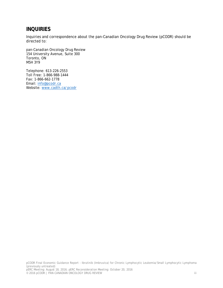# **INQUIRIES**

Inquiries and correspondence about the pan-Canadian Oncology Drug Review (pCODR) should be directed to:

pan-Canadian Oncology Drug Review 154 University Avenue, Suite 300 Toronto, ON M5H 3Y9

Telephone: 613-226-2553 Toll Free: 1-866-988-1444 Fax: 1-866-662-1778 Email: info@pcodr.ca Website: www.cadth.ca/pcodr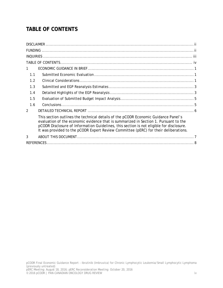# **TABLE OF CONTENTS**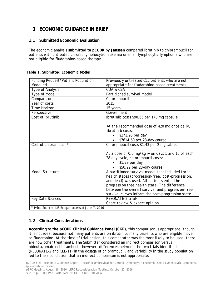# **1 ECONOMIC GUIDANCE IN BRIEF**

#### **1.1 Submitted Economic Evaluation**

The economic analysis **submitted to pCODR by Janssen** compared ibrutinib to chlorambucil for patients with untreated chronic lymphocytic leukemia or small lymphocytic lymphoma who are not eligible for fludarabine-based therapy.

| Funding Request/Patient Population               | Previously untreated CLL patients who are not      |  |  |  |
|--------------------------------------------------|----------------------------------------------------|--|--|--|
| Modelled                                         | appropriate for fludarabine-based treatments.      |  |  |  |
| Type of Analysis                                 | <b>CUA &amp; CEA</b>                               |  |  |  |
| Type of Model                                    | Partitioned survival model                         |  |  |  |
| Comparator                                       | Chlorambucil                                       |  |  |  |
| Year of costs                                    | 2015                                               |  |  |  |
| Time Horizon                                     | 15 years                                           |  |  |  |
| Perspective                                      | Government                                         |  |  |  |
| Cost of ibrutinib                                | Ibrutinib costs \$90.65 per 140 mg capsule         |  |  |  |
|                                                  |                                                    |  |  |  |
|                                                  | At the recommended dose of 420 mg once daily,      |  |  |  |
|                                                  | <i>ibrutinib costs:</i>                            |  |  |  |
|                                                  | \$271.95 per day                                   |  |  |  |
|                                                  | \$7614.60 per 28-day course                        |  |  |  |
| Cost of chlorambucil*                            | Chlorambucil costs \$1.43 per 2 mg tablet          |  |  |  |
|                                                  |                                                    |  |  |  |
|                                                  | At a dose of 0.5 mg/kg iv on days 1 and 15 of each |  |  |  |
|                                                  | 28 day cycle, chlorambucil costs:                  |  |  |  |
|                                                  | $$1.79$ per day                                    |  |  |  |
|                                                  | \$50.22 per 28-day course                          |  |  |  |
| Model Structure                                  | A partitioned survival model that included three   |  |  |  |
|                                                  | health states (progression-free, post-progression, |  |  |  |
|                                                  | and dead) was used. All patients enter the         |  |  |  |
|                                                  | progression free health state. The difference      |  |  |  |
|                                                  | between the overall survival and progression-free  |  |  |  |
|                                                  | survival curves inform the post-progression state. |  |  |  |
| Key Data Sources                                 | RESONATE-2 trial <sup>1</sup>                      |  |  |  |
|                                                  | Chart review & expert opinion                      |  |  |  |
| * Price Source: IMS Brogan accessed June 7, 2016 |                                                    |  |  |  |

#### **Table 1. Submitted Economic Model**

### **1.2 Clinical Considerations**

**According to the pCODR Clinical Guidance Panel (CGP)**, this comparison is appropriate, though it is not ideal because not many patients are on ibrutinib; many patients who are eligible move to fludarabine. At the time of trial design, this comparator was the most likely to be used; there are now other treatments. The Submitter considered an indirect comparison versus obinutuzumab + chlorambucil, however, differences between the two trials identified (RESONATE-2 and CLL-11) in the dosage of chlorambucil, and variability in the study population led to their conclusion that an indirect comparison is not appropriate.

pCODR Final Economic Guidance Report - Ibrutinib (Imbruvica) for Chronic Lymphocytic Leukemia/Small Lymphocytic Lymphoma (previously untreated)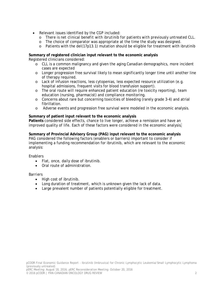- Relevant issues identified by the CGP included:
	- o *There is net clinical benefit with ibrutinib for patients with previously untreated CLL.*
	- o The choice of comparator was appropriate at the time the study was designed.
	- $\circ$  Patients with the del(17p13.1) mutation should be eligible for treatment with ibrutinib

**Summary of registered clinician input relevant to the economic analysis** Registered clinicians considered:

- o CLL is a common malignancy and given the aging Canadian demographics, more incident cases are expected
- o Longer progression free survival likely to mean significantly longer time until another line of therapy required.
- o Lack of infusion reactions, less cytopenias, less expected resource utilization (e.g. hospital admissions, frequent visits for blood transfusion support).
- o The oral route will require enhanced patient education (re toxicity reporting), team education (nursing, pharmacist) and compliance monitoring.
- o Concerns about rare but concerning toxicities of bleeding (rarely grade 3-4) and atrial fibrillation.
- o Adverse events and progression free survival were modeled in the economic analysis.

#### **Summary of patient input relevant to the economic analysis**

**Patients** considered side effects, chance to live longer, achieve a remission and have an improved quality of life*.* Each of these factors were considered in the economic analysis.

**Summary of Provincial Advisory Group (PAG) input relevant to the economic analysis** PAG considered the following factors (enablers or barriers) important to consider if implementing a funding recommendation for ibrutinib, which are relevant to the economic analysis:

*Enablers*

- Flat, once, daily dose of ibrutinib.
- Oral route of administration.

#### *Barriers*

- High cost of ibrutinib.
- Long duration of treatment, which is unknown given the lack of data.
- Large prevalent number of patients potentially eligible for treatment.

pCODR Final Economic Guidance Report - Ibrutinib (Imbruvica) for Chronic Lymphocytic Leukemia/Small Lymphocytic Lymphoma (previously untreated)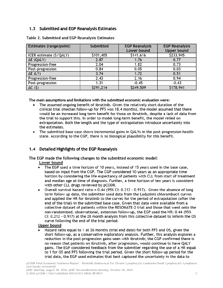#### 1.3 Submitted and EGP Reanalysis Estimates

| Estimates (range/point) | <b>Submitted</b> | <b>EGP Reanalysis</b> | <b>EGP Reanalysis</b> |  |
|-------------------------|------------------|-----------------------|-----------------------|--|
|                         |                  | <b>Lower bound</b>    | <b>Upper bound</b>    |  |
| ICER estimate (\$/QALY) | \$101,405        | \$141,616             | \$233,945             |  |
| ΔE (QALY)               | 2.87             | 1.76                  | 0.77                  |  |
| Progression-free        | 2.04             | 1.82                  | 0.73                  |  |
| Post-progression        | 0.84             | 0.05                  | 0.03                  |  |
| $\Delta E$ (LY)         | 3.74             | 1.72                  | 0.51                  |  |
| <b>Progression-free</b> | 2.43             | 2.16                  | 0.94                  |  |
| Post-progression        | 1.31             | $-0.45$               | $-0.43$               |  |
| $\Delta C$ (\$)         | \$291,214        | \$249,509             | \$178,941             |  |

Table 2. Submitted and EGP Reanalysis Estimates

The main assumptions and limitations with the submitted economic evaluation were:

- The assumed ongoing benefit of ibrutinib. Given the relatively short duration of the clinical trial (median follow-up for PFS was 18.4 months), the model assumed that there would be an increased long term benefit for those on ibrutinib, despite a lack of data from the trial to support this. In order to model long-term benefit, the model relied on extrapolation. Both the length and the type of extrapolation introduce uncertainty into the estimates.
- The submitted base case shows incremental gains in QALYs in the post-progression health state. According to the CGP, there is no biological plausibility for this benefit.

#### Detailed Highlights of the EGP Reanalysis  $1.4$

The EGP made the following changes to the submitted economic model:

**Lower bound** 

- The EGP used a time horizon of 10 years, instead of 15 years used in the base case,  $\bullet$ based on input from the CGP. The CGP considered 10-years as an appropriate time horizon by considering the life expectancy of patients with CLL from start of treatment and median age at time of diagnosis. Further, a time horizon of ten years is consistent with other CLL drugs reviewed by pCODR.
- Overall survival hazard ratio = 0.44 (95% CI: 0.212 0.917). Given the absence of long  $\bullet$ term follow up data, the submitter used data from the Ladyzinki chlorambucil curves and applied the HR for ibrutinib to the curves for the period of extrapolation (after the end of the trial) in the submitted base case. Given that data were available from a collective dataset of patients within the RESONATE-2 trial and those that went onto the non-randomized, observational, extension follow-up, the EGP used the HR: 0.44 (95% CI: 0.212 - 0.917) at the 28 month analysis from this collective dataset to inform the OS curve following the end of the trial period.

#### **Upper bound**

Hazard ratio equal to 1 at 26 months (trial end date) for both PFS and OS, given the short follow-up, as a conservative exploratory analysis. Further, this analysis explores a reduction in the post-progression gains seen with ibrutinib; the CGP confirmed there is no reason that patients on ibrutinib, after progression, would continue to have QALY gains. The EGP considered feedback from the submitter regarding the use of a HR equal to 1 for OS and PFS following the trial period. Given the short follow up period for the trial data, the EGP used estimates that best captured the uncertainty in the data to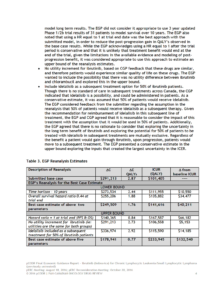model long term results. The EGP did not consider it appropriate to use 3 year updated Phase 1/2b trial results of 31 patients to model survival over 10 years. The EGP also noted that using a HR equal to 1 at trial end date was the best approach with the submitted model, in order to reduce the post-progression gain in QALY's observed in the base case results. While the EGP acknowledges using a HR equal to 1 after the trial period is conservative and that it is unlikely that treatment benefit would end at the end of the trial, given the limitations in the available evidence and modeling of postprogression benefit, it was considered appropriate to use this approach to estimate an upper bound of the reanalysis estimates.

- No utility increment for ibrutinib, based on CGP feedback that these drugs are similar, and therefore patients would experience similar quality of life on these drugs. The EGP wanted to include the possibility that there was no utility difference between ibrutinib and chlorambucil and explored this in the upper bound.
- Include idelalisib as a subsequent treatment option for 50% of ibrutinib patients. Though there is no standard of care in subsequent treatments across Canada, the CGP indicated that idelalisib is a possibility, and could be administered in patients. As a conservative estimate, it was assumed that 50% of patients would receive idelalisib. The EGP considered feedback from the submitter regarding the assumption in the reanalysis that 50% of patients would receive idelalisib as a subsequent therapy. Given the recommendation for reimbursement of idelalisib in this subsequent line of treatment, the EGP and CGP agreed that it is reasonable to consider the impact of this treatment with the assumption that it would be used in 50% of patients. Additionally, the EGP agreed that there is no rationale to consider that exploring the uncertainty in the long term benefit of ibrutinib and exploring the potential for 50% of patients to be treated with idelalisib in subsequent treatments are mutually exclusive. Regardless of the benefit a patient would gain through ibrutinib, upon progression, patients would move to a subsequent treatment. The EGP presented a conservative estimate in the upper bound exploring the inputs that created the largest uncertainty in the ICER.

| <b>Description of Reanalysis</b>                   | AC        | ΔE           | <b>ICUR</b> | $\Delta$ from        |  |  |  |
|----------------------------------------------------|-----------|--------------|-------------|----------------------|--|--|--|
|                                                    |           | <b>QALYs</b> | (QALY)      | <b>baseline ICUR</b> |  |  |  |
| Submitted base case                                | \$291,213 | 2.87         | \$101,405   |                      |  |  |  |
| EGP's Reanalysis for the Best Case Estimate        |           |              |             |                      |  |  |  |
| <b>LOWER BOUND</b>                                 |           |              |             |                      |  |  |  |
| Time horizon - 10 years                            | \$273,534 | 2.44         | \$111,955   | \$10,550             |  |  |  |
| Overall survival hazard ratio 0.44 at<br>trial end | \$255,206 | 1.88         | \$135,882   | \$34,477             |  |  |  |
| Best case estimate of above two                    | \$249,509 | 1.76         | \$141,616   | \$40,211             |  |  |  |
| parameters                                         |           |              |             |                      |  |  |  |
| <b>UPPER BOUND</b>                                 |           |              |             |                      |  |  |  |
|                                                    |           |              |             |                      |  |  |  |
| Hazard ratio = 1 at trial end (PFS $\&$ OS)        | \$140,365 | 0.84         | \$167,587   | \$66,182             |  |  |  |
| No utility increment for ibrutinib (ie:            | \$291,213 | 2.73         | \$106,558   | \$5,153              |  |  |  |
| utilities are the same for both groups)            |           |              |             |                      |  |  |  |
| Idelalisib included as a subsequent                | \$336,974 | 2.92         | \$115,590   | \$14,185             |  |  |  |
| treatment for 50% of ibrutinib patients            |           |              |             |                      |  |  |  |
| Best case estimate of above five                   | \$178,941 | 0.77         | \$233,945   | \$132,540            |  |  |  |
| parameters                                         |           |              |             |                      |  |  |  |

#### Table 3. EGP Reanalysis Estimates

pCODR Final Economic Guidance Report - Ibrutinib (Imbruvica) for Chronic Lymphocytic Leukemia/Small Lymphocytic Lymphoma (previously untreated)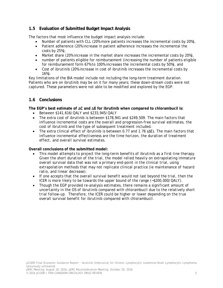#### **1.5 Evaluation of Submitted Budget Impact Analysis**

The factors that most influence the budget impact analysis include:

- Number of patients with CLL (20% more patients increases the incremental costs by 20%),
- Patient adherence (20% increase in patient adherence increases the incremental the costs by 25%),
- Market share (20% increase in the market share increases the incremental costs by 20%),
- number of patients eligible for reimbursement (increasing the number of patients eligible for reimbursement form 67% to 100% increases the incremental costs by 50%), and
- Cost of ibrutinib (20% increase in cost of ibrutinib increases the incremental costs by 16%).

Key limitations of the BIA model include not including the long-term treatment duration. Patients who are on ibrutinib may be on it for many years; these down-stream costs were not captured. These parameters were not able to be modified and explored by the EGP.

#### **1.6 Conclusions**

**The EGP's best estimate of** ∆**C and** ∆**E for ibrutinib when compared to chlorambucil is:**

- Between \$141,616/QALY and \$233,945/QALY
- The extra cost of ibrutinib is between \$178,941 and \$249,509. *The main factors that influence incremental costs are the overall and progression-free survival estimates, the cost of ibrutinib and the type of subsequent treatment included.*
- The extra clinical effect of ibrutinib is between 0.77 and 1.76 (ΔE). *The main factors that influence incremental effectiveness are the time horizon, the duration of treatment effect, and overall survival estimates.*

#### **Overall conclusions of the submitted model:**

- *This model attempts to project the long-term benefits of ibrutinib as a first-line therapy. Given the short duration of the trial, the model relied heavily on extrapolating immature overall survival data that was not a primary end-point in the clinical trial, using extrapolation methods that may not replicate clinical practice (ie maintenance of hazard ratio, and linear decrease).*
- *If one accepts that the overall survival benefit would not last beyond the trial, then the ICER is more likely to be towards the upper bound of the range (~\$200,000/QALY).*
- *Though the EGP provided re-analysis estimates, there remains a significant amount of uncertainty in the OS of ibrutinib compared with chlorambucil due to the relatively short trial follow-up. Therefore, the ICER could be higher or lower depending on the true overall survival benefit for ibrutinib compared with chlorambucil.*

pCODR Final Economic Guidance Report - Ibrutinib (Imbruvica) for Chronic Lymphocytic Leukemia/Small Lymphocytic Lymphoma (previously untreated)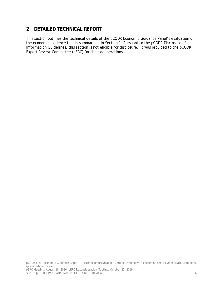# **2 DETAILED TECHNICAL REPORT**

This section outlines the technical details of the pCODR Economic Guidance Panel's evaluation of the economic evidence that is summarized in Section 1. Pursuant to the *pCODR Disclosure of Information Guidelines*, this section is not eligible for disclosure. It was provided to the pCODR Expert Review Committee (pERC) for their deliberations.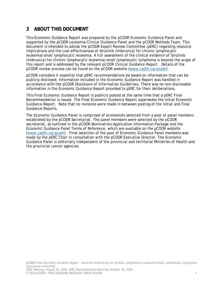# **3 ABOUT THIS DOCUMENT**

This Economic Guidance Report was prepared by the pCODR Economic Guidance Panel and supported by the pCODR Leukemia Clinical Guidance Panel and the pCODR Methods Team. This document is intended to advise the pCODR Expert Review Committee (pERC) regarding resource implications and the cost-effectiveness of ibrutinib (Imbruvica) for chronic lymphocytic leukemia/small lymphocytic leukemia. A full assessment of the clinical evidence of ibrutinib (Imbruvica) for chronic lymphocytic leukemia/small lymphocytic lymphoma is beyond the scope of this report and is addressed by the relevant pCODR Clinical Guidance Report. Details of the pCODR review process can be found on the pCODR website (www.cadth.ca/pcodr).

pCODR considers it essential that pERC recommendations be based on information that can be publicly disclosed. Information included in the Economic Guidance Report was handled in accordance with the *pCODR Disclosure of Information Guidelines*. There was no non-disclosable information in the Economic Guidance Report provided to pERC for their deliberations.

This Final Economic Guidance Report is publicly posted at the same time that a pERC Final Recommendation is issued. The Final Economic Guidance Report supersedes the Initial Economic Guidance Report. Note that no revisions were made in between posting of the Initial and Final Guidance Reports.

The Economic Guidance Panel is comprised of economists selected from a pool of panel members established by the pCODR Secretariat. The panel members were selected by the pCODR secretariat, as outlined in the pCODR Nomination/Application Information Package and the Economic Guidance Panel Terms of Reference, which are available on the pCODR website (www.cadth.ca/pcodr). Final selection of the pool of Economic Guidance Panel members was made by the pERC Chair in consultation with the pCODR Executive Director. The Economic Guidance Panel is editorially independent of the provincial and territorial Ministries of Health and the provincial cancer agencies.